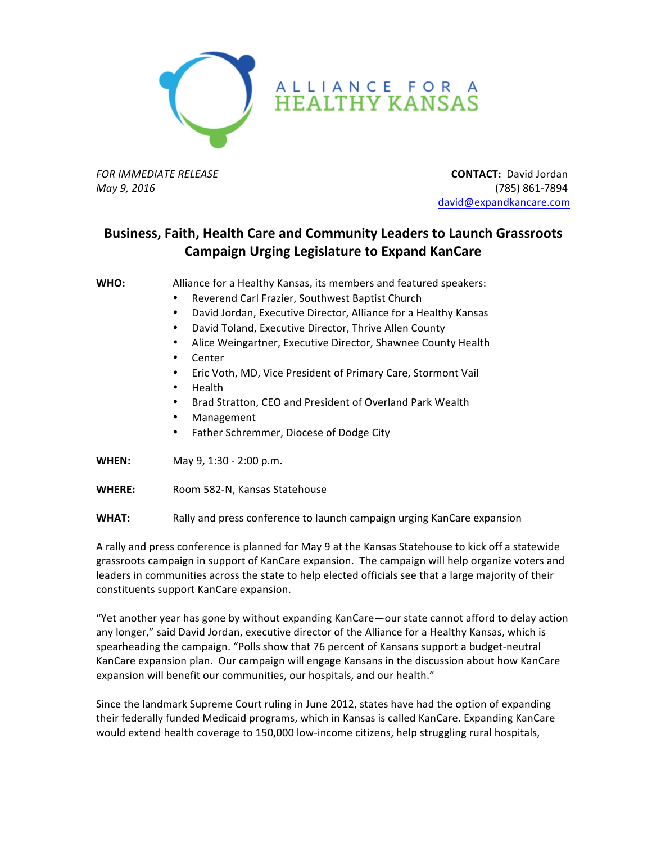

## ALLIANCE FOR A<br>HEALTHY KANSAS

**FOR** IMMEDIATE RELEASE **All assumption the CONTACT:** David Jordan *May 9, 2016* (785) 861-7894 david@expandkancare.com

## **Business, Faith, Health Care and Community Leaders to Launch Grassroots Campaign Urging Legislature to Expand KanCare**

**WHO:** Alliance for a Healthy Kansas, its members and featured speakers:

- Reverend Carl Frazier, Southwest Baptist Church
- David Jordan, Executive Director, Alliance for a Healthy Kansas
- David Toland, Executive Director, Thrive Allen County
- Alice Weingartner, Executive Director, Shawnee County Health
- Center
- Eric Voth, MD, Vice President of Primary Care, Stormont Vail
- Health
- Brad Stratton, CEO and President of Overland Park Wealth
- Management
- Father Schremmer, Diocese of Dodge City
- **WHEN:** May 9, 1:30 2:00 p.m.
- **WHERE:** Room 582-N, Kansas Statehouse
- **WHAT:** Rally and press conference to launch campaign urging KanCare expansion

A rally and press conference is planned for May 9 at the Kansas Statehouse to kick off a statewide grassroots campaign in support of KanCare expansion. The campaign will help organize voters and leaders in communities across the state to help elected officials see that a large majority of their constituents support KanCare expansion.

"Yet another year has gone by without expanding KanCare—our state cannot afford to delay action any longer," said David Jordan, executive director of the Alliance for a Healthy Kansas, which is spearheading the campaign. "Polls show that 76 percent of Kansans support a budget-neutral KanCare expansion plan. Our campaign will engage Kansans in the discussion about how KanCare expansion will benefit our communities, our hospitals, and our health."

Since the landmark Supreme Court ruling in June 2012, states have had the option of expanding their federally funded Medicaid programs, which in Kansas is called KanCare. Expanding KanCare would extend health coverage to 150,000 low-income citizens, help struggling rural hospitals,